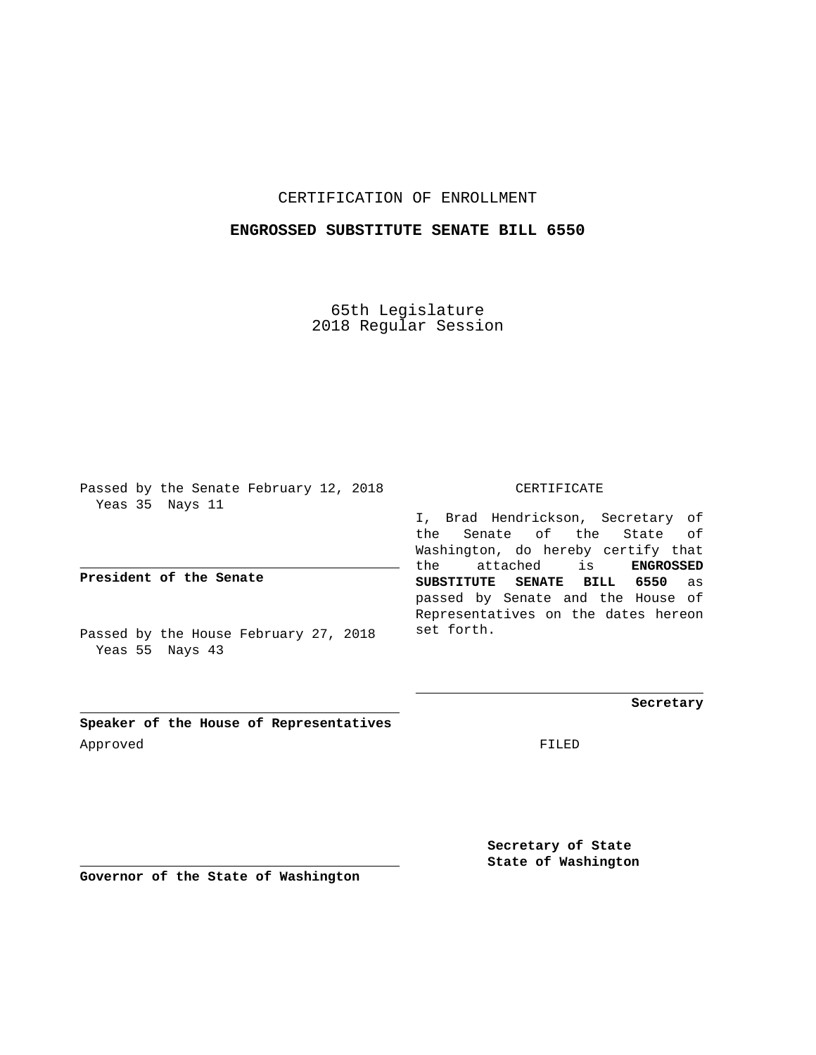## CERTIFICATION OF ENROLLMENT

## **ENGROSSED SUBSTITUTE SENATE BILL 6550**

65th Legislature 2018 Regular Session

Passed by the Senate February 12, 2018 Yeas 35 Nays 11

**President of the Senate**

Passed by the House February 27, 2018 Yeas 55 Nays 43

CERTIFICATE

I, Brad Hendrickson, Secretary of the Senate of the State of Washington, do hereby certify that the attached is **ENGROSSED SUBSTITUTE SENATE BILL 6550** as passed by Senate and the House of Representatives on the dates hereon set forth.

**Secretary**

**Speaker of the House of Representatives** Approved FILED

**Secretary of State State of Washington**

**Governor of the State of Washington**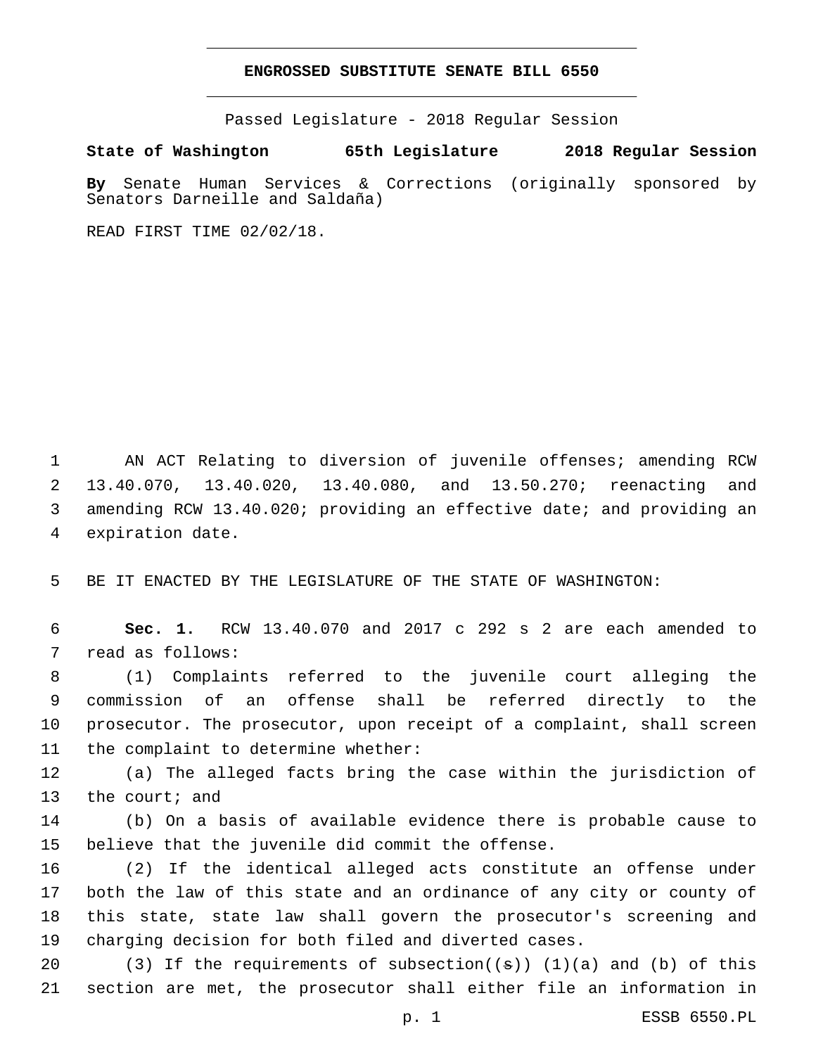## **ENGROSSED SUBSTITUTE SENATE BILL 6550**

Passed Legislature - 2018 Regular Session

**State of Washington 65th Legislature 2018 Regular Session**

**By** Senate Human Services & Corrections (originally sponsored by Senators Darneille and Saldaña)

READ FIRST TIME 02/02/18.

 AN ACT Relating to diversion of juvenile offenses; amending RCW 13.40.070, 13.40.020, 13.40.080, and 13.50.270; reenacting and amending RCW 13.40.020; providing an effective date; and providing an 4 expiration date.

5 BE IT ENACTED BY THE LEGISLATURE OF THE STATE OF WASHINGTON:

6 **Sec. 1.** RCW 13.40.070 and 2017 c 292 s 2 are each amended to 7 read as follows:

 (1) Complaints referred to the juvenile court alleging the commission of an offense shall be referred directly to the prosecutor. The prosecutor, upon receipt of a complaint, shall screen 11 the complaint to determine whether:

12 (a) The alleged facts bring the case within the jurisdiction of 13 the court; and

14 (b) On a basis of available evidence there is probable cause to 15 believe that the juvenile did commit the offense.

 (2) If the identical alleged acts constitute an offense under both the law of this state and an ordinance of any city or county of this state, state law shall govern the prosecutor's screening and charging decision for both filed and diverted cases.

20 (3) If the requirements of subsection( $(\theta)$ ) (1)(a) and (b) of this 21 section are met, the prosecutor shall either file an information in

p. 1 ESSB 6550.PL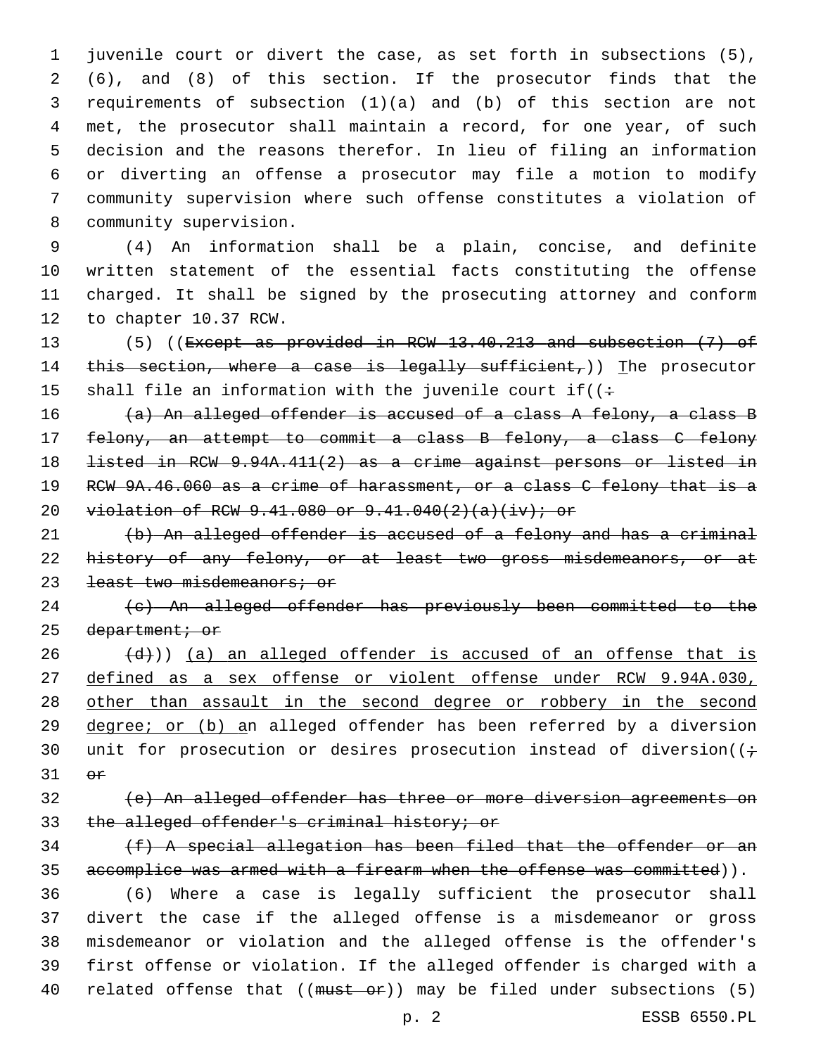juvenile court or divert the case, as set forth in subsections (5), (6), and (8) of this section. If the prosecutor finds that the requirements of subsection (1)(a) and (b) of this section are not met, the prosecutor shall maintain a record, for one year, of such decision and the reasons therefor. In lieu of filing an information or diverting an offense a prosecutor may file a motion to modify community supervision where such offense constitutes a violation of 8 community supervision.

 (4) An information shall be a plain, concise, and definite written statement of the essential facts constituting the offense charged. It shall be signed by the prosecuting attorney and conform 12 to chapter 10.37 RCW.

13 (5) ((Except as provided in RCW 13.40.213 and subsection (7) of 14 this section, where a case is legally sufficient,)) The prosecutor 15 shall file an information with the juvenile court if( $($ :

16 (a) An alleged offender is accused of a class A felony, a class B felony, an attempt to commit a class B felony, a class C felony listed in RCW 9.94A.411(2) as a crime against persons or listed in 19 RCW 9A.46.060 as a crime of harassment, or a class C felony that is a violation of RCW 9.41.080 or 9.41.040(2)(a)(iv); or

 (b) An alleged offender is accused of a felony and has a criminal 22 history of any felony, or at least two gross misdemeanors, or at 23 least two misdemeanors; or

 (c) An alleged offender has previously been committed to the 25 department; or

 $(26 \leftarrow \{d\})$ ) (a) an alleged offender is accused of an offense that is defined as a sex offense or violent offense under RCW 9.94A.030, other than assault in the second degree or robbery in the second 29 degree; or (b) an alleged offender has been referred by a diversion 30 unit for prosecution or desires prosecution instead of diversion( $(i \div j)$  $\Theta$  $\mathbf{r}$ 

 (e) An alleged offender has three or more diversion agreements on the alleged offender's criminal history; or

 (f) A special allegation has been filed that the offender or an 35 accomplice was armed with a firearm when the offense was committed)).

 (6) Where a case is legally sufficient the prosecutor shall divert the case if the alleged offense is a misdemeanor or gross misdemeanor or violation and the alleged offense is the offender's first offense or violation. If the alleged offender is charged with a 40 related offense that ((must or)) may be filed under subsections (5)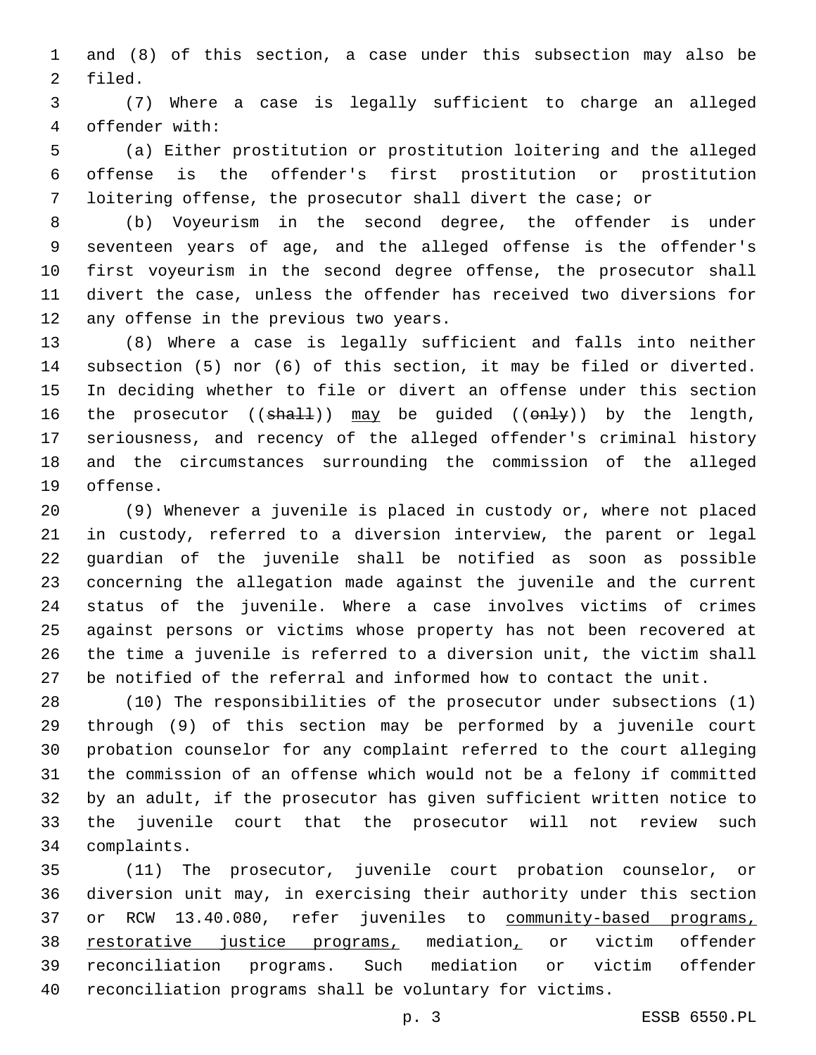and (8) of this section, a case under this subsection may also be 2 filed.

 (7) Where a case is legally sufficient to charge an alleged offender with:4

 (a) Either prostitution or prostitution loitering and the alleged offense is the offender's first prostitution or prostitution loitering offense, the prosecutor shall divert the case; or

 (b) Voyeurism in the second degree, the offender is under seventeen years of age, and the alleged offense is the offender's first voyeurism in the second degree offense, the prosecutor shall divert the case, unless the offender has received two diversions for 12 any offense in the previous two years.

 (8) Where a case is legally sufficient and falls into neither subsection (5) nor (6) of this section, it may be filed or diverted. In deciding whether to file or divert an offense under this section 16 the prosecutor  $((shall))$  may be guided  $((enhy))$  by the length, seriousness, and recency of the alleged offender's criminal history and the circumstances surrounding the commission of the alleged 19 offense.

 (9) Whenever a juvenile is placed in custody or, where not placed in custody, referred to a diversion interview, the parent or legal guardian of the juvenile shall be notified as soon as possible concerning the allegation made against the juvenile and the current status of the juvenile. Where a case involves victims of crimes against persons or victims whose property has not been recovered at the time a juvenile is referred to a diversion unit, the victim shall be notified of the referral and informed how to contact the unit.

 (10) The responsibilities of the prosecutor under subsections (1) through (9) of this section may be performed by a juvenile court probation counselor for any complaint referred to the court alleging the commission of an offense which would not be a felony if committed by an adult, if the prosecutor has given sufficient written notice to the juvenile court that the prosecutor will not review such complaints.34

 (11) The prosecutor, juvenile court probation counselor, or diversion unit may, in exercising their authority under this section 37 or RCW 13.40.080, refer juveniles to community-based programs, restorative justice programs, mediation, or victim offender reconciliation programs. Such mediation or victim offender reconciliation programs shall be voluntary for victims.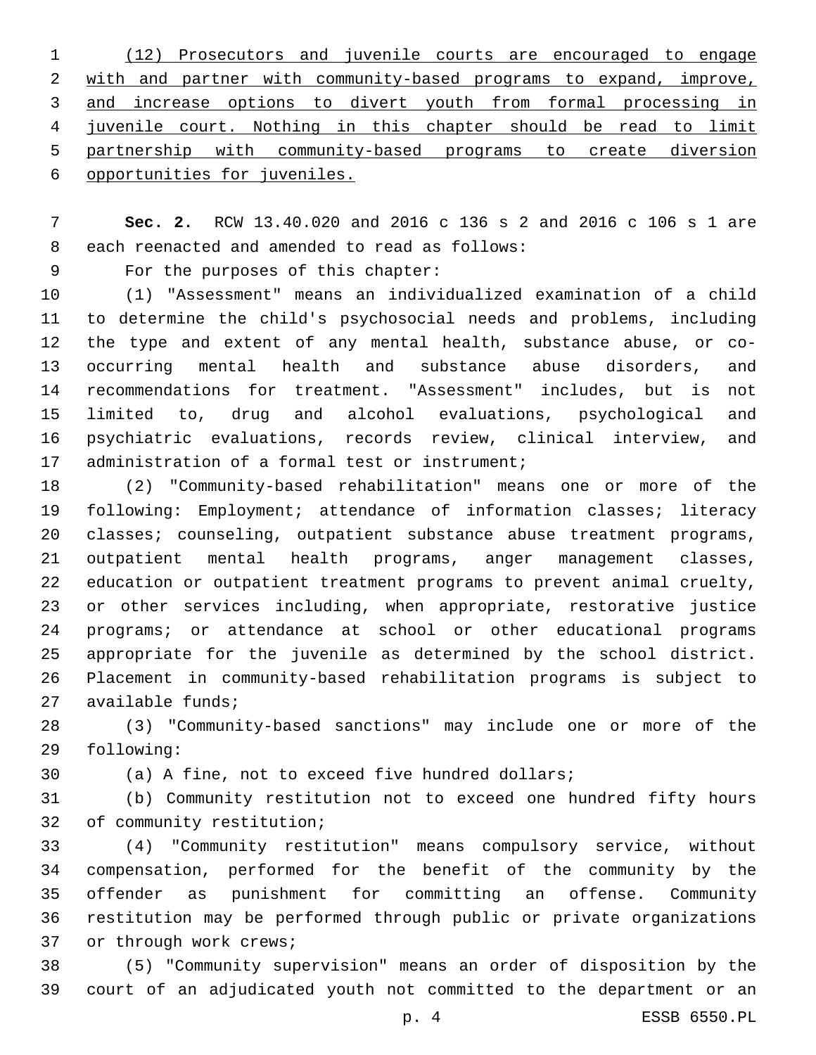(12) Prosecutors and juvenile courts are encouraged to engage with and partner with community-based programs to expand, improve, and increase options to divert youth from formal processing in juvenile court. Nothing in this chapter should be read to limit partnership with community-based programs to create diversion opportunities for juveniles.

 **Sec. 2.** RCW 13.40.020 and 2016 c 136 s 2 and 2016 c 106 s 1 are 8 each reenacted and amended to read as follows:

9 For the purposes of this chapter:

 (1) "Assessment" means an individualized examination of a child to determine the child's psychosocial needs and problems, including the type and extent of any mental health, substance abuse, or co- occurring mental health and substance abuse disorders, and recommendations for treatment. "Assessment" includes, but is not limited to, drug and alcohol evaluations, psychological and psychiatric evaluations, records review, clinical interview, and 17 administration of a formal test or instrument;

 (2) "Community-based rehabilitation" means one or more of the following: Employment; attendance of information classes; literacy classes; counseling, outpatient substance abuse treatment programs, outpatient mental health programs, anger management classes, education or outpatient treatment programs to prevent animal cruelty, or other services including, when appropriate, restorative justice programs; or attendance at school or other educational programs appropriate for the juvenile as determined by the school district. Placement in community-based rehabilitation programs is subject to 27 available funds;

 (3) "Community-based sanctions" may include one or more of the 29 following:

(a) A fine, not to exceed five hundred dollars;

 (b) Community restitution not to exceed one hundred fifty hours 32 of community restitution;

 (4) "Community restitution" means compulsory service, without compensation, performed for the benefit of the community by the offender as punishment for committing an offense. Community restitution may be performed through public or private organizations 37 or through work crews;

 (5) "Community supervision" means an order of disposition by the court of an adjudicated youth not committed to the department or an

p. 4 ESSB 6550.PL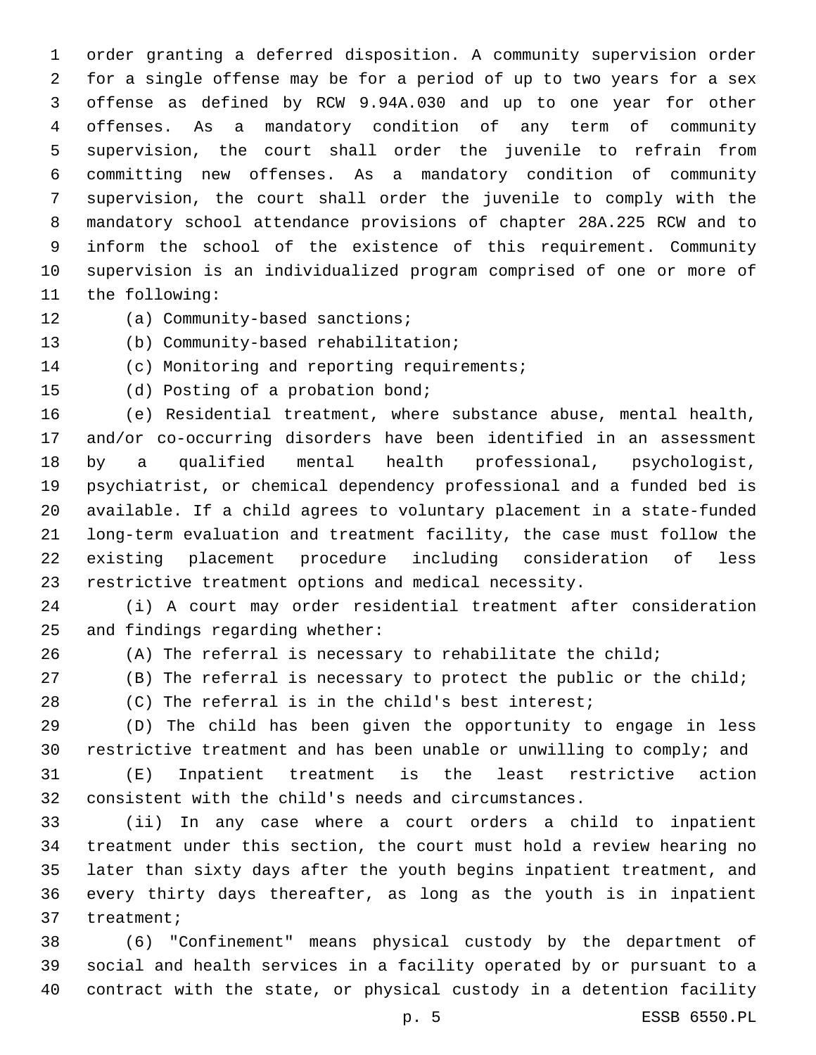order granting a deferred disposition. A community supervision order for a single offense may be for a period of up to two years for a sex offense as defined by RCW 9.94A.030 and up to one year for other offenses. As a mandatory condition of any term of community supervision, the court shall order the juvenile to refrain from committing new offenses. As a mandatory condition of community supervision, the court shall order the juvenile to comply with the mandatory school attendance provisions of chapter 28A.225 RCW and to inform the school of the existence of this requirement. Community supervision is an individualized program comprised of one or more of 11 the following:

12 (a) Community-based sanctions;

13 (b) Community-based rehabilitation;

14 (c) Monitoring and reporting requirements;

15 (d) Posting of a probation bond;

 (e) Residential treatment, where substance abuse, mental health, and/or co-occurring disorders have been identified in an assessment by a qualified mental health professional, psychologist, psychiatrist, or chemical dependency professional and a funded bed is available. If a child agrees to voluntary placement in a state-funded long-term evaluation and treatment facility, the case must follow the existing placement procedure including consideration of less restrictive treatment options and medical necessity.

 (i) A court may order residential treatment after consideration 25 and findings regarding whether:

(A) The referral is necessary to rehabilitate the child;

(B) The referral is necessary to protect the public or the child;

(C) The referral is in the child's best interest;

 (D) The child has been given the opportunity to engage in less restrictive treatment and has been unable or unwilling to comply; and

 (E) Inpatient treatment is the least restrictive action consistent with the child's needs and circumstances.

 (ii) In any case where a court orders a child to inpatient treatment under this section, the court must hold a review hearing no later than sixty days after the youth begins inpatient treatment, and every thirty days thereafter, as long as the youth is in inpatient 37 treatment;

 (6) "Confinement" means physical custody by the department of social and health services in a facility operated by or pursuant to a contract with the state, or physical custody in a detention facility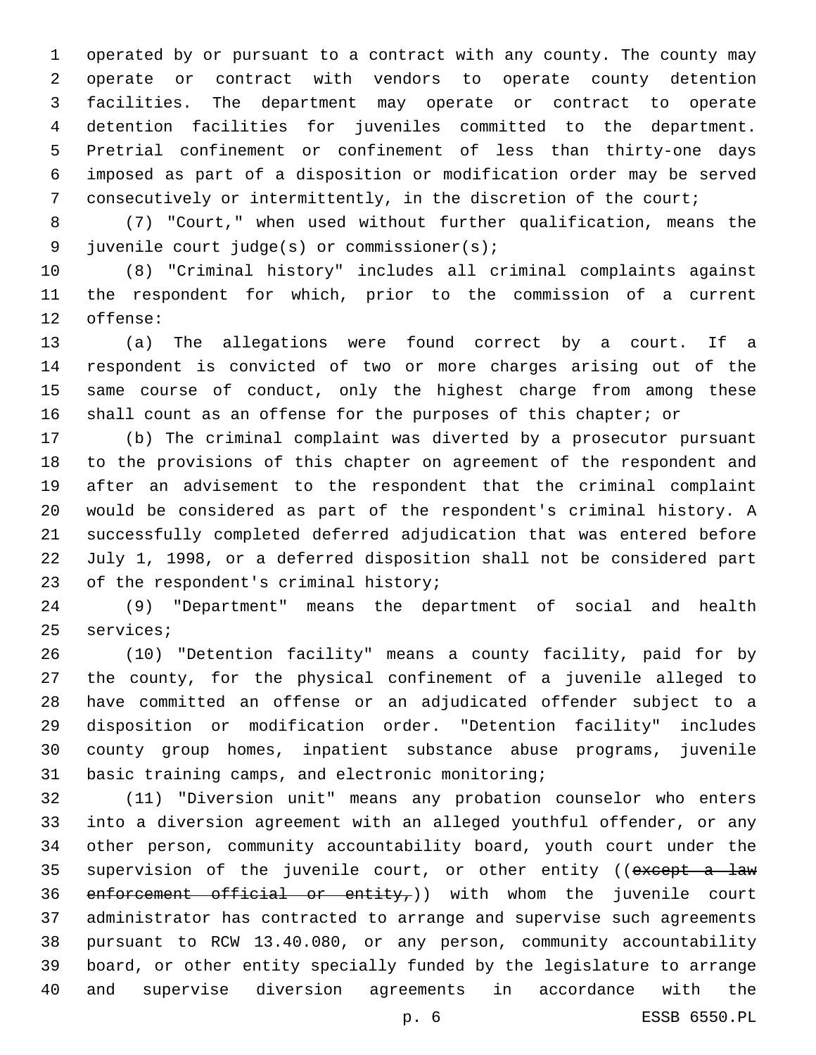operated by or pursuant to a contract with any county. The county may operate or contract with vendors to operate county detention facilities. The department may operate or contract to operate detention facilities for juveniles committed to the department. Pretrial confinement or confinement of less than thirty-one days imposed as part of a disposition or modification order may be served consecutively or intermittently, in the discretion of the court;

 (7) "Court," when used without further qualification, means the juvenile court judge(s) or commissioner(s);9

 (8) "Criminal history" includes all criminal complaints against the respondent for which, prior to the commission of a current 12 offense:

 (a) The allegations were found correct by a court. If a respondent is convicted of two or more charges arising out of the same course of conduct, only the highest charge from among these shall count as an offense for the purposes of this chapter; or

 (b) The criminal complaint was diverted by a prosecutor pursuant to the provisions of this chapter on agreement of the respondent and after an advisement to the respondent that the criminal complaint would be considered as part of the respondent's criminal history. A successfully completed deferred adjudication that was entered before July 1, 1998, or a deferred disposition shall not be considered part 23 of the respondent's criminal history;

 (9) "Department" means the department of social and health 25 services;

 (10) "Detention facility" means a county facility, paid for by the county, for the physical confinement of a juvenile alleged to have committed an offense or an adjudicated offender subject to a disposition or modification order. "Detention facility" includes county group homes, inpatient substance abuse programs, juvenile 31 basic training camps, and electronic monitoring;

 (11) "Diversion unit" means any probation counselor who enters into a diversion agreement with an alleged youthful offender, or any other person, community accountability board, youth court under the 35 supervision of the juvenile court, or other entity ((except a law 36 enforcement official or entity,)) with whom the juvenile court administrator has contracted to arrange and supervise such agreements pursuant to RCW 13.40.080, or any person, community accountability board, or other entity specially funded by the legislature to arrange and supervise diversion agreements in accordance with the

p. 6 ESSB 6550.PL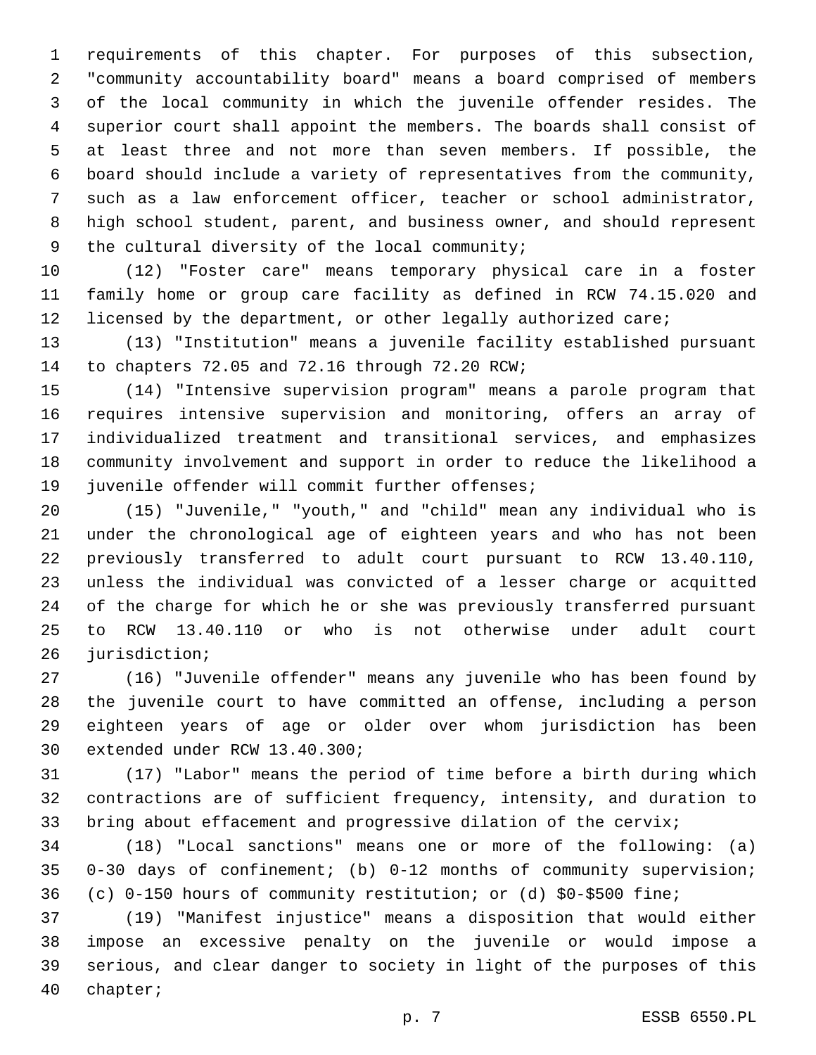requirements of this chapter. For purposes of this subsection, "community accountability board" means a board comprised of members of the local community in which the juvenile offender resides. The superior court shall appoint the members. The boards shall consist of at least three and not more than seven members. If possible, the board should include a variety of representatives from the community, such as a law enforcement officer, teacher or school administrator, high school student, parent, and business owner, and should represent 9 the cultural diversity of the local community;

 (12) "Foster care" means temporary physical care in a foster family home or group care facility as defined in RCW 74.15.020 and licensed by the department, or other legally authorized care;

 (13) "Institution" means a juvenile facility established pursuant 14 to chapters 72.05 and 72.16 through 72.20 RCW;

 (14) "Intensive supervision program" means a parole program that requires intensive supervision and monitoring, offers an array of individualized treatment and transitional services, and emphasizes community involvement and support in order to reduce the likelihood a 19 juvenile offender will commit further offenses;

 (15) "Juvenile," "youth," and "child" mean any individual who is under the chronological age of eighteen years and who has not been previously transferred to adult court pursuant to RCW 13.40.110, unless the individual was convicted of a lesser charge or acquitted of the charge for which he or she was previously transferred pursuant to RCW 13.40.110 or who is not otherwise under adult court 26 jurisdiction;

 (16) "Juvenile offender" means any juvenile who has been found by the juvenile court to have committed an offense, including a person eighteen years of age or older over whom jurisdiction has been 30 extended under RCW 13.40.300;

 (17) "Labor" means the period of time before a birth during which contractions are of sufficient frequency, intensity, and duration to bring about effacement and progressive dilation of the cervix;

 (18) "Local sanctions" means one or more of the following: (a) 0-30 days of confinement; (b) 0-12 months of community supervision; (c) 0-150 hours of community restitution; or (d) \$0-\$500 fine;

 (19) "Manifest injustice" means a disposition that would either impose an excessive penalty on the juvenile or would impose a serious, and clear danger to society in light of the purposes of this 40 chapter;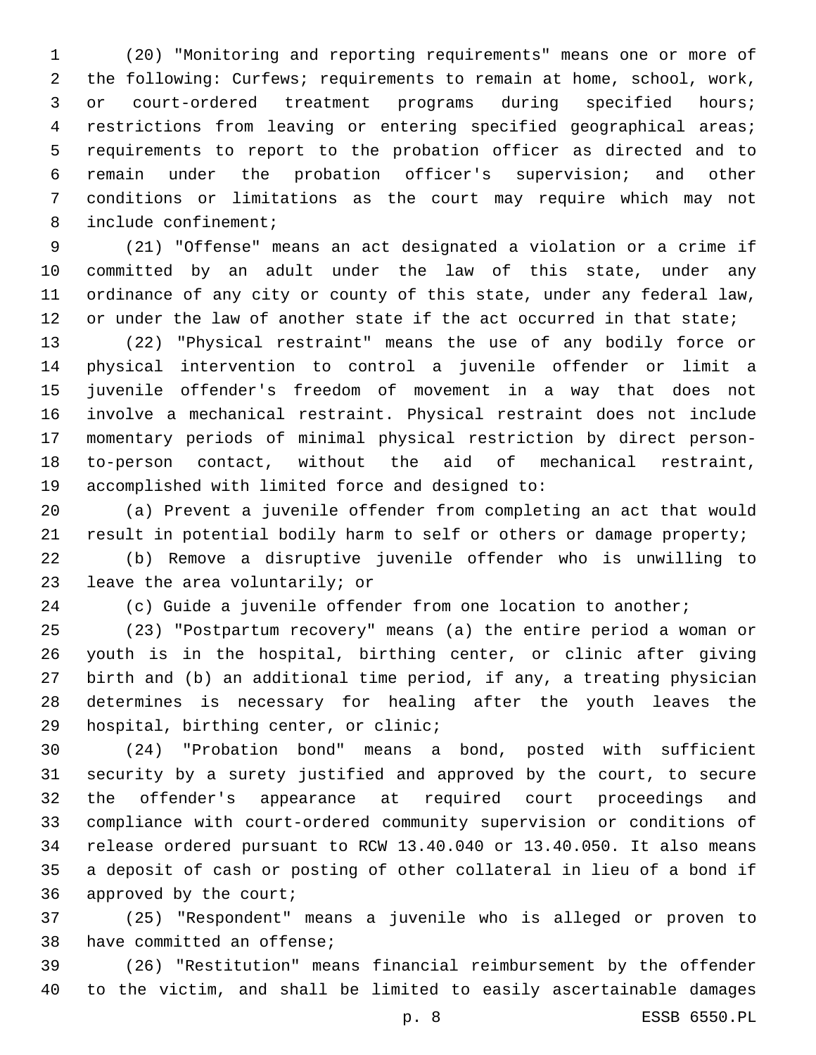(20) "Monitoring and reporting requirements" means one or more of the following: Curfews; requirements to remain at home, school, work, or court-ordered treatment programs during specified hours; restrictions from leaving or entering specified geographical areas; requirements to report to the probation officer as directed and to remain under the probation officer's supervision; and other conditions or limitations as the court may require which may not 8 include confinement;

 (21) "Offense" means an act designated a violation or a crime if committed by an adult under the law of this state, under any ordinance of any city or county of this state, under any federal law, 12 or under the law of another state if the act occurred in that state;

 (22) "Physical restraint" means the use of any bodily force or physical intervention to control a juvenile offender or limit a juvenile offender's freedom of movement in a way that does not involve a mechanical restraint. Physical restraint does not include momentary periods of minimal physical restriction by direct person- to-person contact, without the aid of mechanical restraint, 19 accomplished with limited force and designed to:

 (a) Prevent a juvenile offender from completing an act that would result in potential bodily harm to self or others or damage property;

 (b) Remove a disruptive juvenile offender who is unwilling to 23 leave the area voluntarily; or

(c) Guide a juvenile offender from one location to another;

 (23) "Postpartum recovery" means (a) the entire period a woman or youth is in the hospital, birthing center, or clinic after giving birth and (b) an additional time period, if any, a treating physician determines is necessary for healing after the youth leaves the 29 hospital, birthing center, or clinic;

 (24) "Probation bond" means a bond, posted with sufficient security by a surety justified and approved by the court, to secure the offender's appearance at required court proceedings and compliance with court-ordered community supervision or conditions of release ordered pursuant to RCW 13.40.040 or 13.40.050. It also means a deposit of cash or posting of other collateral in lieu of a bond if 36 approved by the court;

 (25) "Respondent" means a juvenile who is alleged or proven to 38 have committed an offense;

 (26) "Restitution" means financial reimbursement by the offender to the victim, and shall be limited to easily ascertainable damages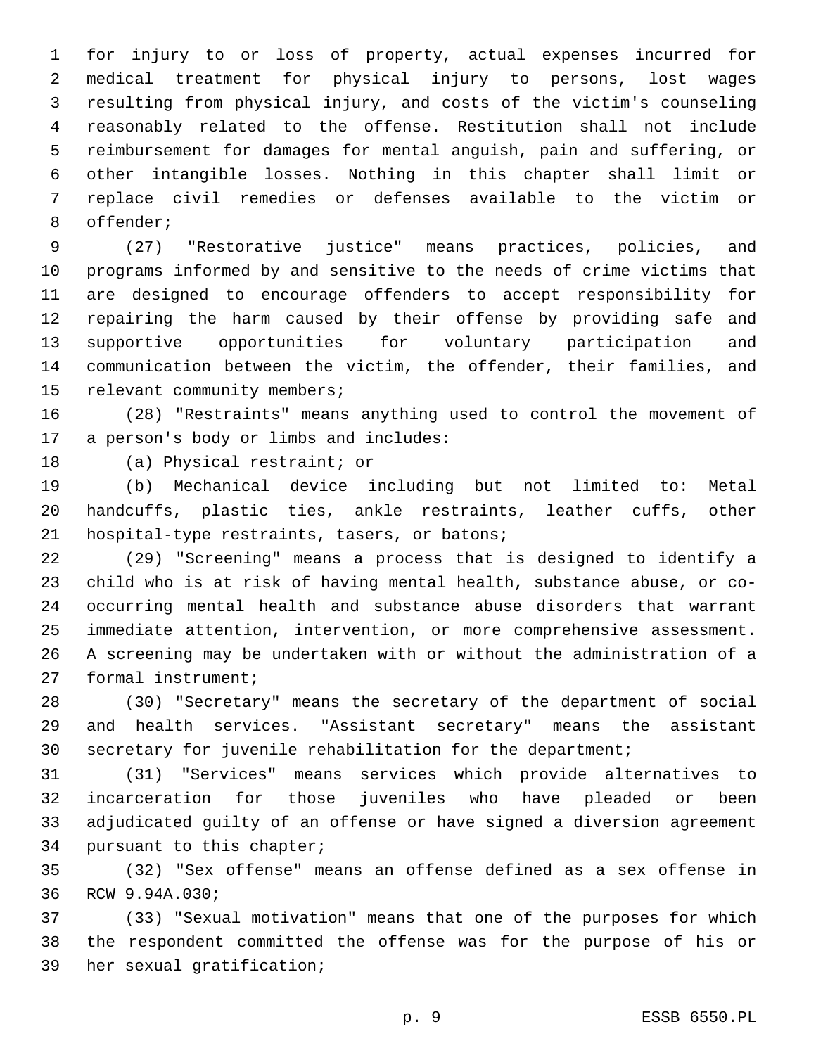for injury to or loss of property, actual expenses incurred for medical treatment for physical injury to persons, lost wages resulting from physical injury, and costs of the victim's counseling reasonably related to the offense. Restitution shall not include reimbursement for damages for mental anguish, pain and suffering, or other intangible losses. Nothing in this chapter shall limit or replace civil remedies or defenses available to the victim or 8 offender;

 (27) "Restorative justice" means practices, policies, and programs informed by and sensitive to the needs of crime victims that are designed to encourage offenders to accept responsibility for repairing the harm caused by their offense by providing safe and supportive opportunities for voluntary participation and communication between the victim, the offender, their families, and 15 relevant community members;

 (28) "Restraints" means anything used to control the movement of 17 a person's body or limbs and includes:

18 (a) Physical restraint; or

 (b) Mechanical device including but not limited to: Metal handcuffs, plastic ties, ankle restraints, leather cuffs, other 21 hospital-type restraints, tasers, or batons;

 (29) "Screening" means a process that is designed to identify a child who is at risk of having mental health, substance abuse, or co- occurring mental health and substance abuse disorders that warrant immediate attention, intervention, or more comprehensive assessment. A screening may be undertaken with or without the administration of a 27 formal instrument;

 (30) "Secretary" means the secretary of the department of social and health services. "Assistant secretary" means the assistant secretary for juvenile rehabilitation for the department;

 (31) "Services" means services which provide alternatives to incarceration for those juveniles who have pleaded or been adjudicated guilty of an offense or have signed a diversion agreement 34 pursuant to this chapter;

 (32) "Sex offense" means an offense defined as a sex offense in 36 RCW 9.94A.030;

 (33) "Sexual motivation" means that one of the purposes for which the respondent committed the offense was for the purpose of his or 39 her sexual gratification;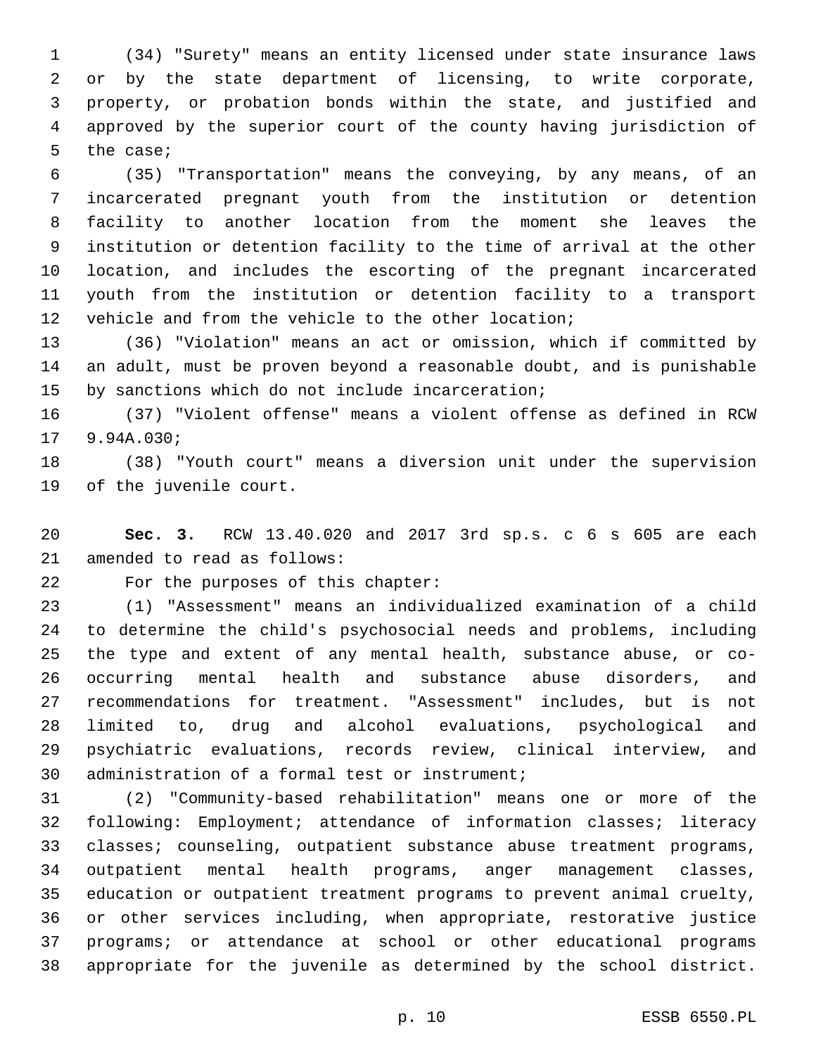(34) "Surety" means an entity licensed under state insurance laws or by the state department of licensing, to write corporate, property, or probation bonds within the state, and justified and approved by the superior court of the county having jurisdiction of 5 the case;

 (35) "Transportation" means the conveying, by any means, of an incarcerated pregnant youth from the institution or detention facility to another location from the moment she leaves the institution or detention facility to the time of arrival at the other location, and includes the escorting of the pregnant incarcerated youth from the institution or detention facility to a transport vehicle and from the vehicle to the other location;

 (36) "Violation" means an act or omission, which if committed by an adult, must be proven beyond a reasonable doubt, and is punishable 15 by sanctions which do not include incarceration;

 (37) "Violent offense" means a violent offense as defined in RCW 17 9.94A.030;

 (38) "Youth court" means a diversion unit under the supervision 19 of the juvenile court.

 **Sec. 3.** RCW 13.40.020 and 2017 3rd sp.s. c 6 s 605 are each 21 amended to read as follows:

22 For the purposes of this chapter:

 (1) "Assessment" means an individualized examination of a child to determine the child's psychosocial needs and problems, including the type and extent of any mental health, substance abuse, or co- occurring mental health and substance abuse disorders, and recommendations for treatment. "Assessment" includes, but is not limited to, drug and alcohol evaluations, psychological and psychiatric evaluations, records review, clinical interview, and 30 administration of a formal test or instrument;

 (2) "Community-based rehabilitation" means one or more of the following: Employment; attendance of information classes; literacy classes; counseling, outpatient substance abuse treatment programs, outpatient mental health programs, anger management classes, education or outpatient treatment programs to prevent animal cruelty, or other services including, when appropriate, restorative justice programs; or attendance at school or other educational programs appropriate for the juvenile as determined by the school district.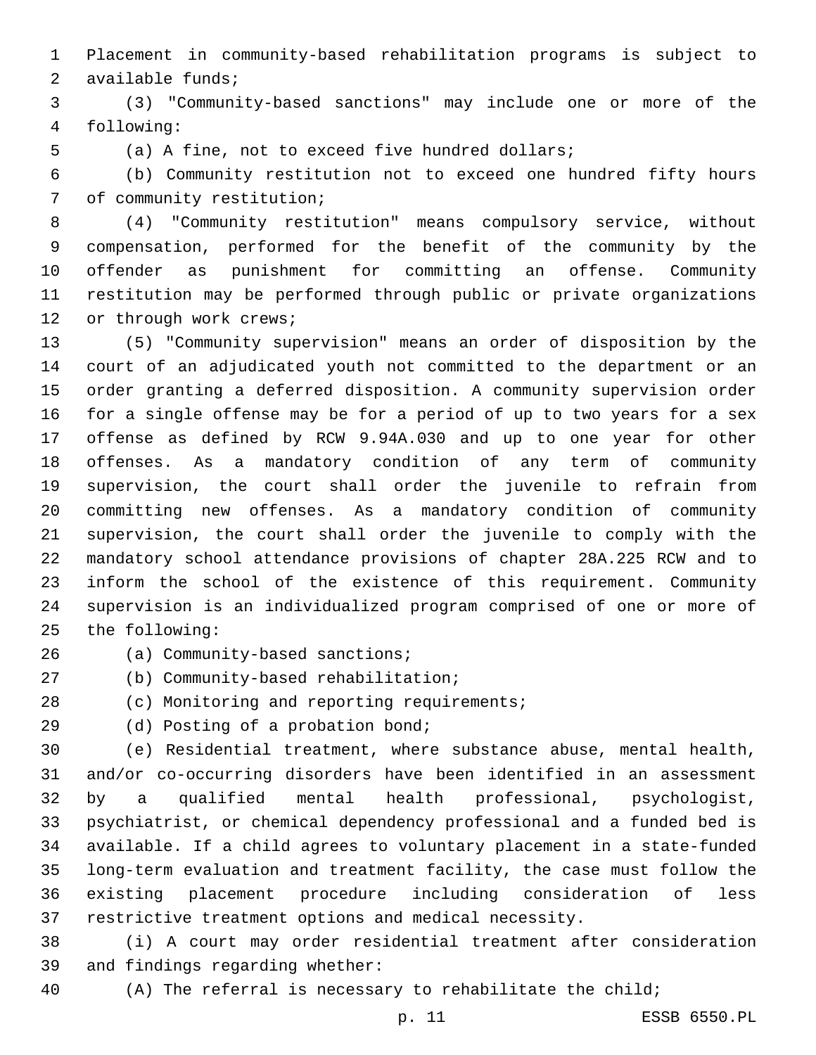Placement in community-based rehabilitation programs is subject to 2 available funds;

 (3) "Community-based sanctions" may include one or more of the following:4

(a) A fine, not to exceed five hundred dollars;

 (b) Community restitution not to exceed one hundred fifty hours 7 of community restitution;

 (4) "Community restitution" means compulsory service, without compensation, performed for the benefit of the community by the offender as punishment for committing an offense. Community restitution may be performed through public or private organizations 12 or through work crews;

 (5) "Community supervision" means an order of disposition by the court of an adjudicated youth not committed to the department or an order granting a deferred disposition. A community supervision order for a single offense may be for a period of up to two years for a sex offense as defined by RCW 9.94A.030 and up to one year for other offenses. As a mandatory condition of any term of community supervision, the court shall order the juvenile to refrain from committing new offenses. As a mandatory condition of community supervision, the court shall order the juvenile to comply with the mandatory school attendance provisions of chapter 28A.225 RCW and to inform the school of the existence of this requirement. Community supervision is an individualized program comprised of one or more of 25 the following:

26 (a) Community-based sanctions;

27 (b) Community-based rehabilitation;

28 (c) Monitoring and reporting requirements;

(d) Posting of a probation bond;29

 (e) Residential treatment, where substance abuse, mental health, and/or co-occurring disorders have been identified in an assessment by a qualified mental health professional, psychologist, psychiatrist, or chemical dependency professional and a funded bed is available. If a child agrees to voluntary placement in a state-funded long-term evaluation and treatment facility, the case must follow the existing placement procedure including consideration of less restrictive treatment options and medical necessity.

 (i) A court may order residential treatment after consideration 39 and findings regarding whether:

(A) The referral is necessary to rehabilitate the child;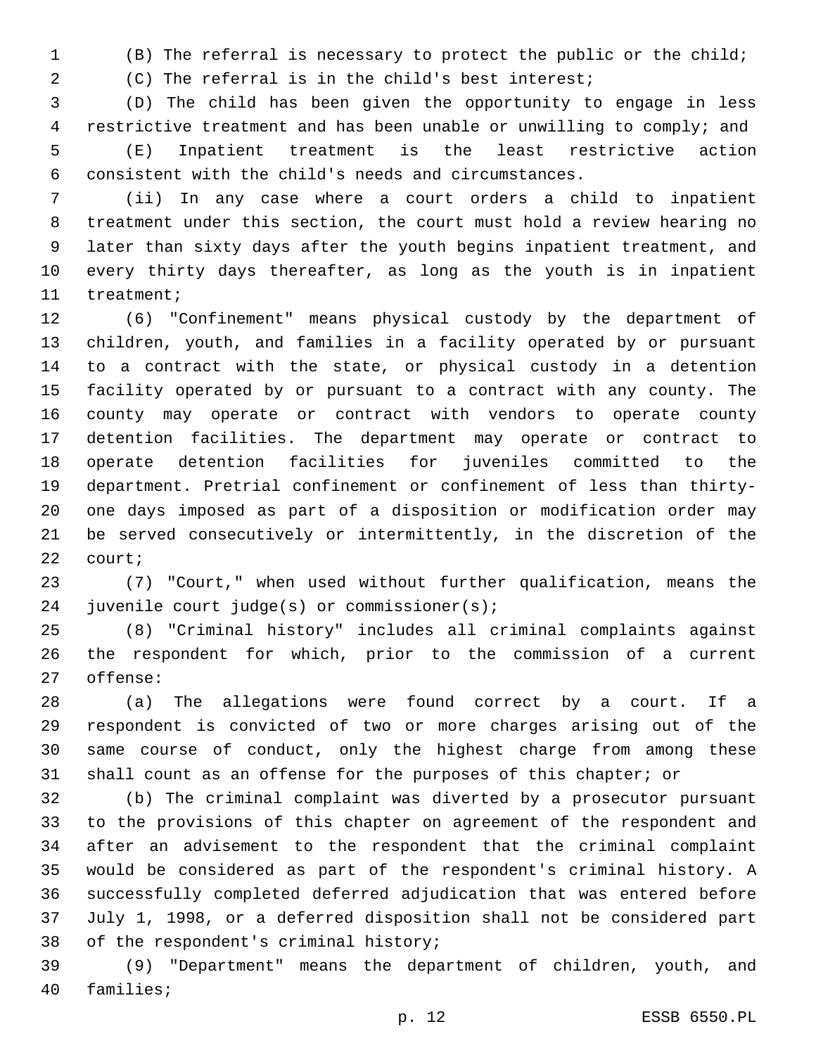(B) The referral is necessary to protect the public or the child;

(C) The referral is in the child's best interest;

 (D) The child has been given the opportunity to engage in less restrictive treatment and has been unable or unwilling to comply; and (E) Inpatient treatment is the least restrictive action consistent with the child's needs and circumstances.

 (ii) In any case where a court orders a child to inpatient treatment under this section, the court must hold a review hearing no later than sixty days after the youth begins inpatient treatment, and every thirty days thereafter, as long as the youth is in inpatient 11 treatment;

 (6) "Confinement" means physical custody by the department of children, youth, and families in a facility operated by or pursuant to a contract with the state, or physical custody in a detention facility operated by or pursuant to a contract with any county. The county may operate or contract with vendors to operate county detention facilities. The department may operate or contract to operate detention facilities for juveniles committed to the department. Pretrial confinement or confinement of less than thirty- one days imposed as part of a disposition or modification order may be served consecutively or intermittently, in the discretion of the 22 court;

 (7) "Court," when used without further qualification, means the 24 juvenile court judge(s) or commissioner(s);

 (8) "Criminal history" includes all criminal complaints against the respondent for which, prior to the commission of a current 27 offense:

 (a) The allegations were found correct by a court. If a respondent is convicted of two or more charges arising out of the same course of conduct, only the highest charge from among these shall count as an offense for the purposes of this chapter; or

 (b) The criminal complaint was diverted by a prosecutor pursuant to the provisions of this chapter on agreement of the respondent and after an advisement to the respondent that the criminal complaint would be considered as part of the respondent's criminal history. A successfully completed deferred adjudication that was entered before July 1, 1998, or a deferred disposition shall not be considered part 38 of the respondent's criminal history;

 (9) "Department" means the department of children, youth, and 40 families;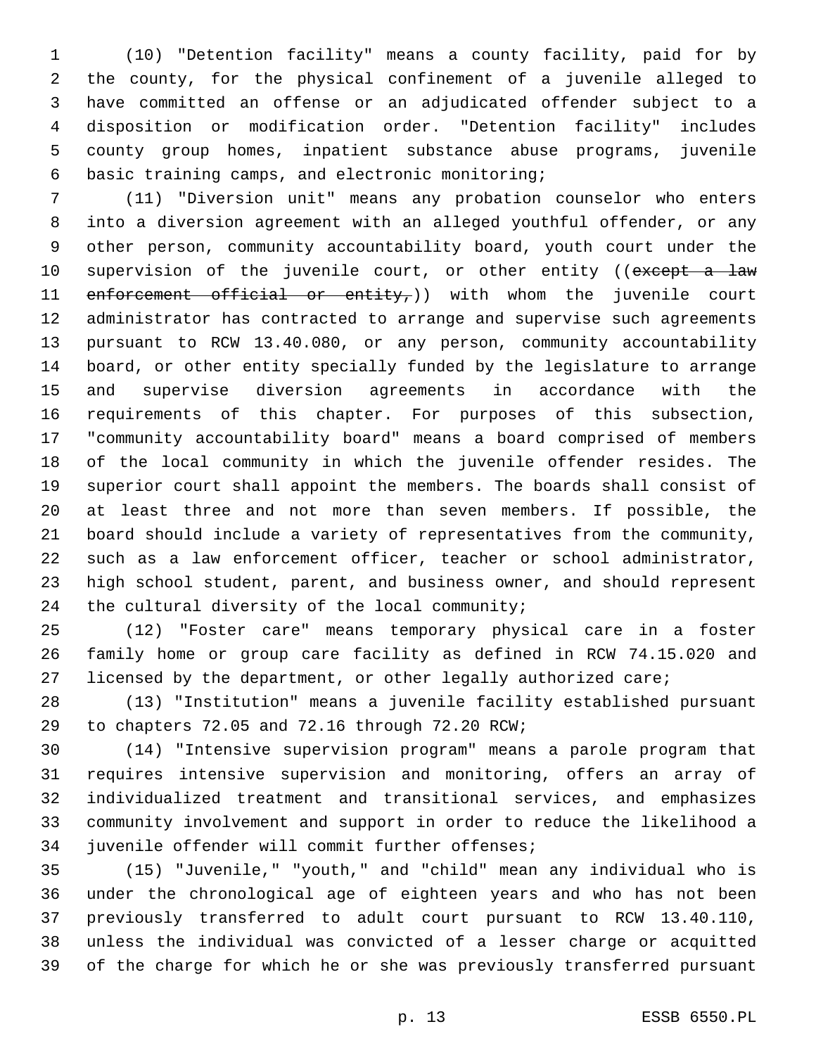(10) "Detention facility" means a county facility, paid for by the county, for the physical confinement of a juvenile alleged to have committed an offense or an adjudicated offender subject to a disposition or modification order. "Detention facility" includes county group homes, inpatient substance abuse programs, juvenile basic training camps, and electronic monitoring;6

 (11) "Diversion unit" means any probation counselor who enters into a diversion agreement with an alleged youthful offender, or any other person, community accountability board, youth court under the 10 supervision of the juvenile court, or other entity ((except a law 11 enforcement official or entity,)) with whom the juvenile court administrator has contracted to arrange and supervise such agreements pursuant to RCW 13.40.080, or any person, community accountability board, or other entity specially funded by the legislature to arrange and supervise diversion agreements in accordance with the requirements of this chapter. For purposes of this subsection, "community accountability board" means a board comprised of members of the local community in which the juvenile offender resides. The superior court shall appoint the members. The boards shall consist of at least three and not more than seven members. If possible, the board should include a variety of representatives from the community, such as a law enforcement officer, teacher or school administrator, high school student, parent, and business owner, and should represent 24 the cultural diversity of the local community;

 (12) "Foster care" means temporary physical care in a foster family home or group care facility as defined in RCW 74.15.020 and licensed by the department, or other legally authorized care;

 (13) "Institution" means a juvenile facility established pursuant 29 to chapters 72.05 and 72.16 through 72.20 RCW;

 (14) "Intensive supervision program" means a parole program that requires intensive supervision and monitoring, offers an array of individualized treatment and transitional services, and emphasizes community involvement and support in order to reduce the likelihood a 34 juvenile offender will commit further offenses;

 (15) "Juvenile," "youth," and "child" mean any individual who is under the chronological age of eighteen years and who has not been previously transferred to adult court pursuant to RCW 13.40.110, unless the individual was convicted of a lesser charge or acquitted of the charge for which he or she was previously transferred pursuant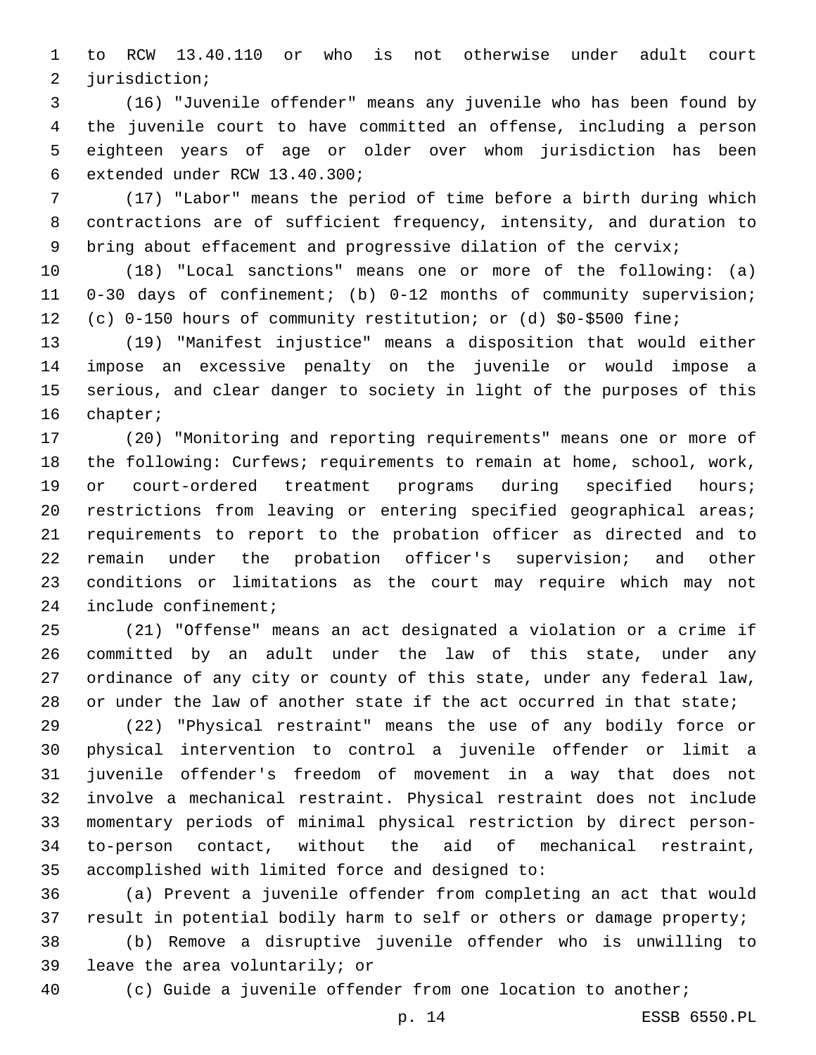to RCW 13.40.110 or who is not otherwise under adult court 2 jurisdiction;

 (16) "Juvenile offender" means any juvenile who has been found by the juvenile court to have committed an offense, including a person eighteen years of age or older over whom jurisdiction has been 6 extended under RCW 13.40.300;

 (17) "Labor" means the period of time before a birth during which contractions are of sufficient frequency, intensity, and duration to 9 bring about effacement and progressive dilation of the cervix;

 (18) "Local sanctions" means one or more of the following: (a) 0-30 days of confinement; (b) 0-12 months of community supervision; (c) 0-150 hours of community restitution; or (d) \$0-\$500 fine;

 (19) "Manifest injustice" means a disposition that would either impose an excessive penalty on the juvenile or would impose a serious, and clear danger to society in light of the purposes of this 16 chapter;

 (20) "Monitoring and reporting requirements" means one or more of the following: Curfews; requirements to remain at home, school, work, 19 or court-ordered treatment programs during specified hours; restrictions from leaving or entering specified geographical areas; requirements to report to the probation officer as directed and to remain under the probation officer's supervision; and other conditions or limitations as the court may require which may not 24 include confinement;

 (21) "Offense" means an act designated a violation or a crime if committed by an adult under the law of this state, under any ordinance of any city or county of this state, under any federal law, or under the law of another state if the act occurred in that state;

 (22) "Physical restraint" means the use of any bodily force or physical intervention to control a juvenile offender or limit a juvenile offender's freedom of movement in a way that does not involve a mechanical restraint. Physical restraint does not include momentary periods of minimal physical restriction by direct person- to-person contact, without the aid of mechanical restraint, 35 accomplished with limited force and designed to:

 (a) Prevent a juvenile offender from completing an act that would 37 result in potential bodily harm to self or others or damage property;

 (b) Remove a disruptive juvenile offender who is unwilling to 39 leave the area voluntarily; or

(c) Guide a juvenile offender from one location to another;

p. 14 ESSB 6550.PL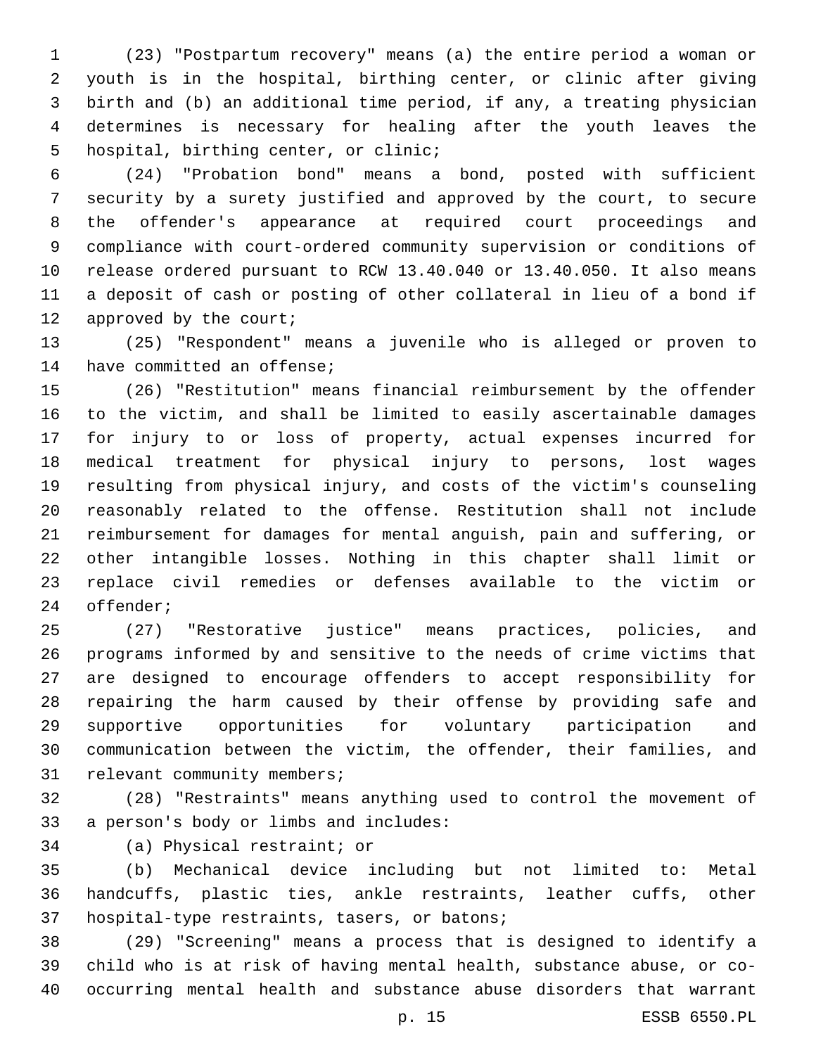(23) "Postpartum recovery" means (a) the entire period a woman or youth is in the hospital, birthing center, or clinic after giving birth and (b) an additional time period, if any, a treating physician determines is necessary for healing after the youth leaves the 5 hospital, birthing center, or clinic;

 (24) "Probation bond" means a bond, posted with sufficient security by a surety justified and approved by the court, to secure the offender's appearance at required court proceedings and compliance with court-ordered community supervision or conditions of release ordered pursuant to RCW 13.40.040 or 13.40.050. It also means a deposit of cash or posting of other collateral in lieu of a bond if 12 approved by the court;

 (25) "Respondent" means a juvenile who is alleged or proven to 14 have committed an offense;

 (26) "Restitution" means financial reimbursement by the offender to the victim, and shall be limited to easily ascertainable damages for injury to or loss of property, actual expenses incurred for medical treatment for physical injury to persons, lost wages resulting from physical injury, and costs of the victim's counseling reasonably related to the offense. Restitution shall not include reimbursement for damages for mental anguish, pain and suffering, or other intangible losses. Nothing in this chapter shall limit or replace civil remedies or defenses available to the victim or 24 offender;

 (27) "Restorative justice" means practices, policies, and programs informed by and sensitive to the needs of crime victims that are designed to encourage offenders to accept responsibility for repairing the harm caused by their offense by providing safe and supportive opportunities for voluntary participation and communication between the victim, the offender, their families, and 31 relevant community members;

 (28) "Restraints" means anything used to control the movement of 33 a person's body or limbs and includes:

34 (a) Physical restraint; or

 (b) Mechanical device including but not limited to: Metal handcuffs, plastic ties, ankle restraints, leather cuffs, other 37 hospital-type restraints, tasers, or batons;

 (29) "Screening" means a process that is designed to identify a child who is at risk of having mental health, substance abuse, or co-occurring mental health and substance abuse disorders that warrant

p. 15 ESSB 6550.PL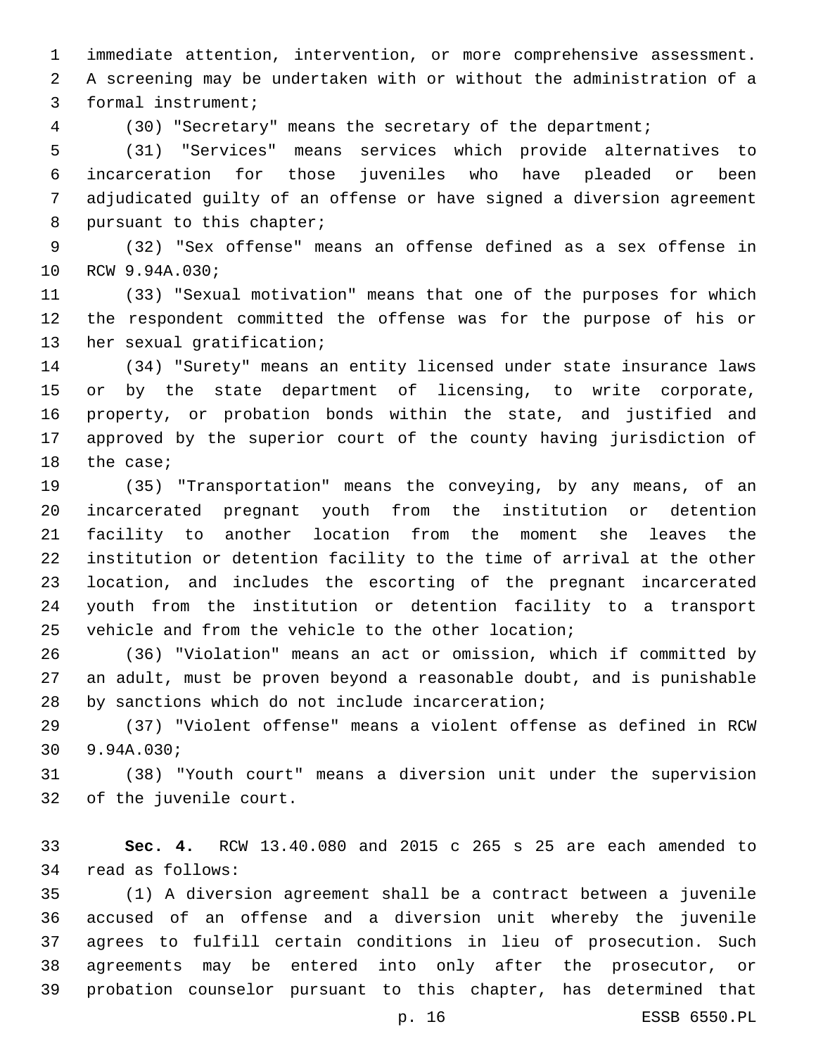immediate attention, intervention, or more comprehensive assessment. A screening may be undertaken with or without the administration of a 3 formal instrument;

(30) "Secretary" means the secretary of the department;

 (31) "Services" means services which provide alternatives to incarceration for those juveniles who have pleaded or been adjudicated guilty of an offense or have signed a diversion agreement 8 pursuant to this chapter;

 (32) "Sex offense" means an offense defined as a sex offense in 10 RCW 9.94A.030;

 (33) "Sexual motivation" means that one of the purposes for which the respondent committed the offense was for the purpose of his or 13 her sexual gratification;

 (34) "Surety" means an entity licensed under state insurance laws or by the state department of licensing, to write corporate, property, or probation bonds within the state, and justified and approved by the superior court of the county having jurisdiction of 18 the case;

 (35) "Transportation" means the conveying, by any means, of an incarcerated pregnant youth from the institution or detention facility to another location from the moment she leaves the institution or detention facility to the time of arrival at the other location, and includes the escorting of the pregnant incarcerated youth from the institution or detention facility to a transport vehicle and from the vehicle to the other location;

 (36) "Violation" means an act or omission, which if committed by an adult, must be proven beyond a reasonable doubt, and is punishable 28 by sanctions which do not include incarceration;

 (37) "Violent offense" means a violent offense as defined in RCW 30 9.94A.030;

 (38) "Youth court" means a diversion unit under the supervision 32 of the juvenile court.

 **Sec. 4.** RCW 13.40.080 and 2015 c 265 s 25 are each amended to 34 read as follows:

 (1) A diversion agreement shall be a contract between a juvenile accused of an offense and a diversion unit whereby the juvenile agrees to fulfill certain conditions in lieu of prosecution. Such agreements may be entered into only after the prosecutor, or probation counselor pursuant to this chapter, has determined that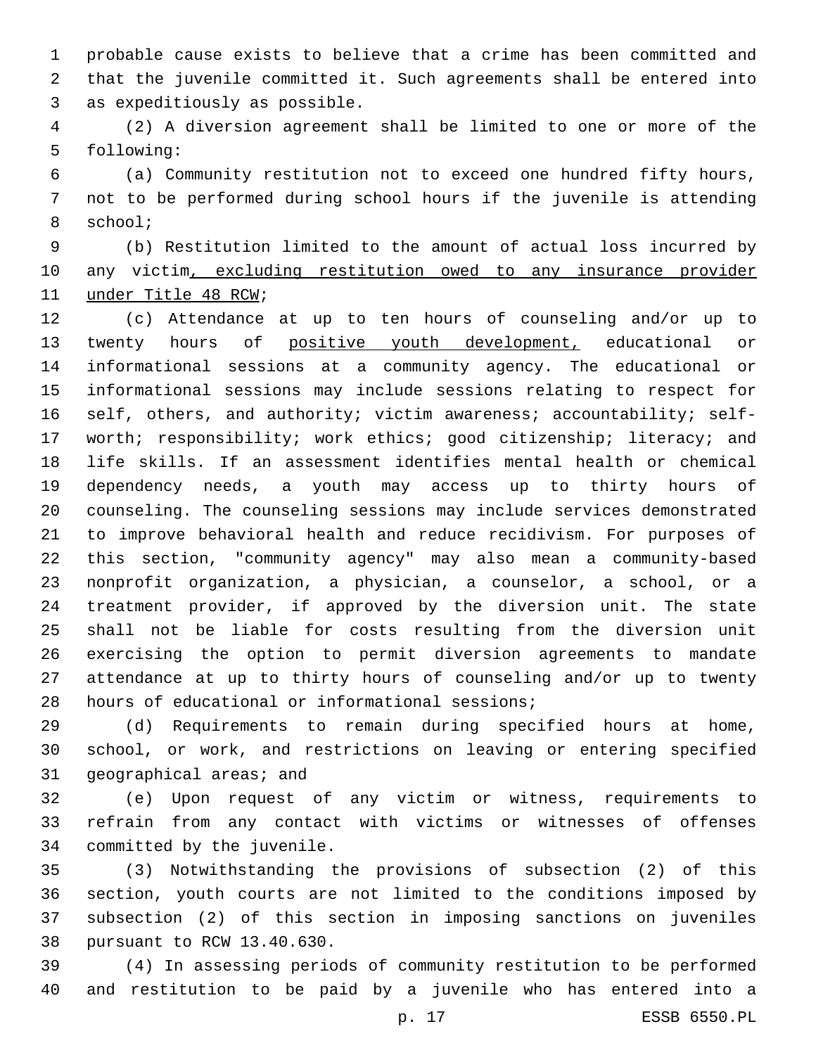probable cause exists to believe that a crime has been committed and that the juvenile committed it. Such agreements shall be entered into 3 as expeditiously as possible.

 (2) A diversion agreement shall be limited to one or more of the 5 following:

 (a) Community restitution not to exceed one hundred fifty hours, not to be performed during school hours if the juvenile is attending 8 school;

 (b) Restitution limited to the amount of actual loss incurred by any victim, excluding restitution owed to any insurance provider 11 under Title 48 RCW;

 (c) Attendance at up to ten hours of counseling and/or up to 13 twenty hours of positive youth development, educational or informational sessions at a community agency. The educational or informational sessions may include sessions relating to respect for self, others, and authority; victim awareness; accountability; self-17 worth; responsibility; work ethics; good citizenship; literacy; and life skills. If an assessment identifies mental health or chemical dependency needs, a youth may access up to thirty hours of counseling. The counseling sessions may include services demonstrated to improve behavioral health and reduce recidivism. For purposes of this section, "community agency" may also mean a community-based nonprofit organization, a physician, a counselor, a school, or a treatment provider, if approved by the diversion unit. The state shall not be liable for costs resulting from the diversion unit exercising the option to permit diversion agreements to mandate attendance at up to thirty hours of counseling and/or up to twenty 28 hours of educational or informational sessions;

 (d) Requirements to remain during specified hours at home, school, or work, and restrictions on leaving or entering specified 31 geographical areas; and

 (e) Upon request of any victim or witness, requirements to refrain from any contact with victims or witnesses of offenses 34 committed by the juvenile.

 (3) Notwithstanding the provisions of subsection (2) of this section, youth courts are not limited to the conditions imposed by subsection (2) of this section in imposing sanctions on juveniles 38 pursuant to RCW 13.40.630.

 (4) In assessing periods of community restitution to be performed and restitution to be paid by a juvenile who has entered into a

p. 17 ESSB 6550.PL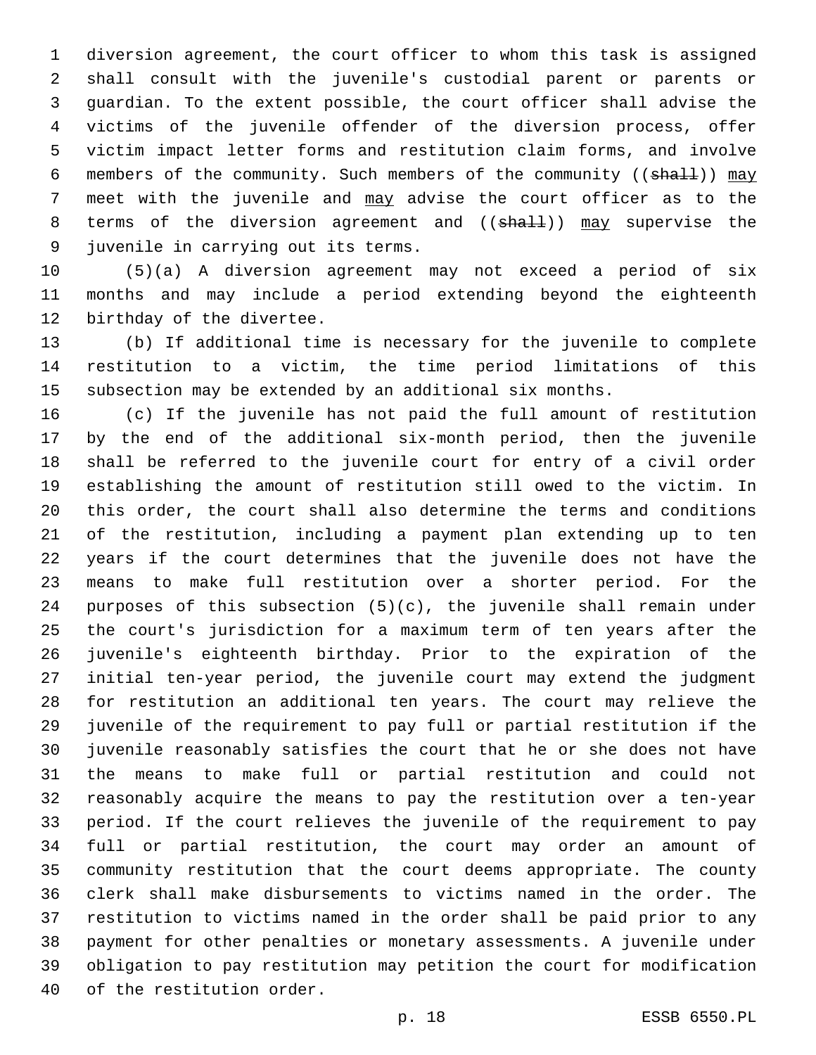diversion agreement, the court officer to whom this task is assigned shall consult with the juvenile's custodial parent or parents or guardian. To the extent possible, the court officer shall advise the victims of the juvenile offender of the diversion process, offer victim impact letter forms and restitution claim forms, and involve 6 members of the community. Such members of the community ((shall)) may meet with the juvenile and may advise the court officer as to the 8 terms of the diversion agreement and ((shall)) may supervise the 9 juvenile in carrying out its terms.

 (5)(a) A diversion agreement may not exceed a period of six months and may include a period extending beyond the eighteenth 12 birthday of the divertee.

 (b) If additional time is necessary for the juvenile to complete restitution to a victim, the time period limitations of this subsection may be extended by an additional six months.

 (c) If the juvenile has not paid the full amount of restitution by the end of the additional six-month period, then the juvenile shall be referred to the juvenile court for entry of a civil order establishing the amount of restitution still owed to the victim. In this order, the court shall also determine the terms and conditions of the restitution, including a payment plan extending up to ten years if the court determines that the juvenile does not have the means to make full restitution over a shorter period. For the purposes of this subsection (5)(c), the juvenile shall remain under the court's jurisdiction for a maximum term of ten years after the juvenile's eighteenth birthday. Prior to the expiration of the initial ten-year period, the juvenile court may extend the judgment for restitution an additional ten years. The court may relieve the juvenile of the requirement to pay full or partial restitution if the juvenile reasonably satisfies the court that he or she does not have the means to make full or partial restitution and could not reasonably acquire the means to pay the restitution over a ten-year period. If the court relieves the juvenile of the requirement to pay full or partial restitution, the court may order an amount of community restitution that the court deems appropriate. The county clerk shall make disbursements to victims named in the order. The restitution to victims named in the order shall be paid prior to any payment for other penalties or monetary assessments. A juvenile under obligation to pay restitution may petition the court for modification 40 of the restitution order.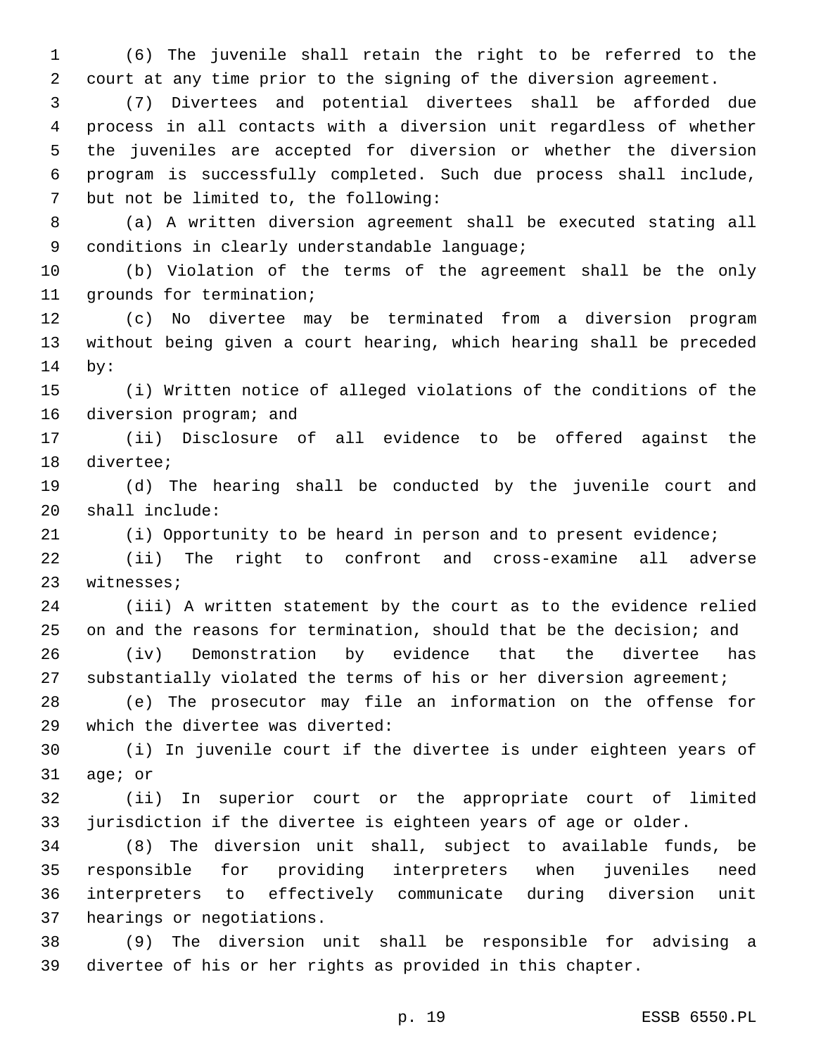(6) The juvenile shall retain the right to be referred to the court at any time prior to the signing of the diversion agreement.

 (7) Divertees and potential divertees shall be afforded due process in all contacts with a diversion unit regardless of whether the juveniles are accepted for diversion or whether the diversion program is successfully completed. Such due process shall include, 7 but not be limited to, the following:

 (a) A written diversion agreement shall be executed stating all 9 conditions in clearly understandable language;

 (b) Violation of the terms of the agreement shall be the only 11 grounds for termination;

 (c) No divertee may be terminated from a diversion program without being given a court hearing, which hearing shall be preceded 14 by:

 (i) Written notice of alleged violations of the conditions of the 16 diversion program; and

 (ii) Disclosure of all evidence to be offered against the 18 divertee;

 (d) The hearing shall be conducted by the juvenile court and shall include:20

(i) Opportunity to be heard in person and to present evidence;

 (ii) The right to confront and cross-examine all adverse 23 witnesses;

 (iii) A written statement by the court as to the evidence relied on and the reasons for termination, should that be the decision; and (iv) Demonstration by evidence that the divertee has

substantially violated the terms of his or her diversion agreement;

 (e) The prosecutor may file an information on the offense for 29 which the divertee was diverted:

 (i) In juvenile court if the divertee is under eighteen years of 31 age; or

 (ii) In superior court or the appropriate court of limited jurisdiction if the divertee is eighteen years of age or older.

 (8) The diversion unit shall, subject to available funds, be responsible for providing interpreters when juveniles need interpreters to effectively communicate during diversion unit 37 hearings or negotiations.

 (9) The diversion unit shall be responsible for advising a divertee of his or her rights as provided in this chapter.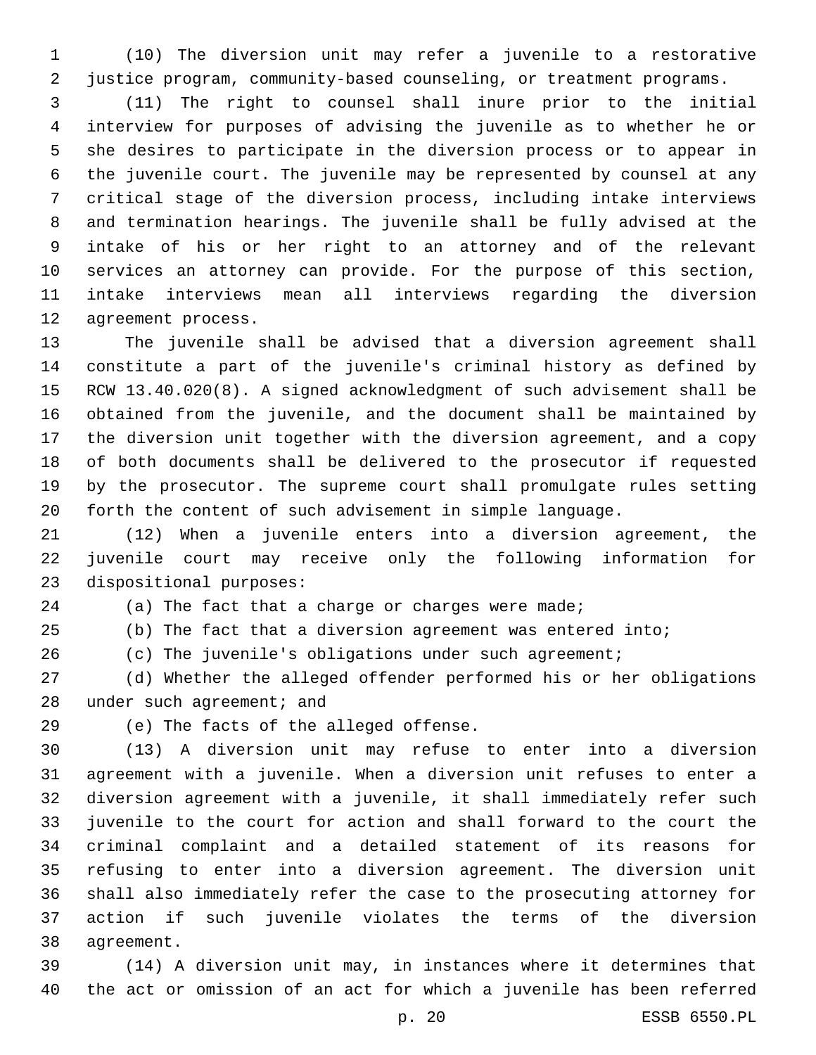(10) The diversion unit may refer a juvenile to a restorative justice program, community-based counseling, or treatment programs.

 (11) The right to counsel shall inure prior to the initial interview for purposes of advising the juvenile as to whether he or she desires to participate in the diversion process or to appear in the juvenile court. The juvenile may be represented by counsel at any critical stage of the diversion process, including intake interviews and termination hearings. The juvenile shall be fully advised at the intake of his or her right to an attorney and of the relevant services an attorney can provide. For the purpose of this section, intake interviews mean all interviews regarding the diversion 12 agreement process.

 The juvenile shall be advised that a diversion agreement shall constitute a part of the juvenile's criminal history as defined by RCW 13.40.020(8). A signed acknowledgment of such advisement shall be obtained from the juvenile, and the document shall be maintained by the diversion unit together with the diversion agreement, and a copy of both documents shall be delivered to the prosecutor if requested by the prosecutor. The supreme court shall promulgate rules setting forth the content of such advisement in simple language.

 (12) When a juvenile enters into a diversion agreement, the juvenile court may receive only the following information for 23 dispositional purposes:

24 (a) The fact that a charge or charges were made;

(b) The fact that a diversion agreement was entered into;

(c) The juvenile's obligations under such agreement;

 (d) Whether the alleged offender performed his or her obligations 28 under such agreement; and

29 (e) The facts of the alleged offense.

 (13) A diversion unit may refuse to enter into a diversion agreement with a juvenile. When a diversion unit refuses to enter a diversion agreement with a juvenile, it shall immediately refer such juvenile to the court for action and shall forward to the court the criminal complaint and a detailed statement of its reasons for refusing to enter into a diversion agreement. The diversion unit shall also immediately refer the case to the prosecuting attorney for action if such juvenile violates the terms of the diversion 38 agreement.

 (14) A diversion unit may, in instances where it determines that the act or omission of an act for which a juvenile has been referred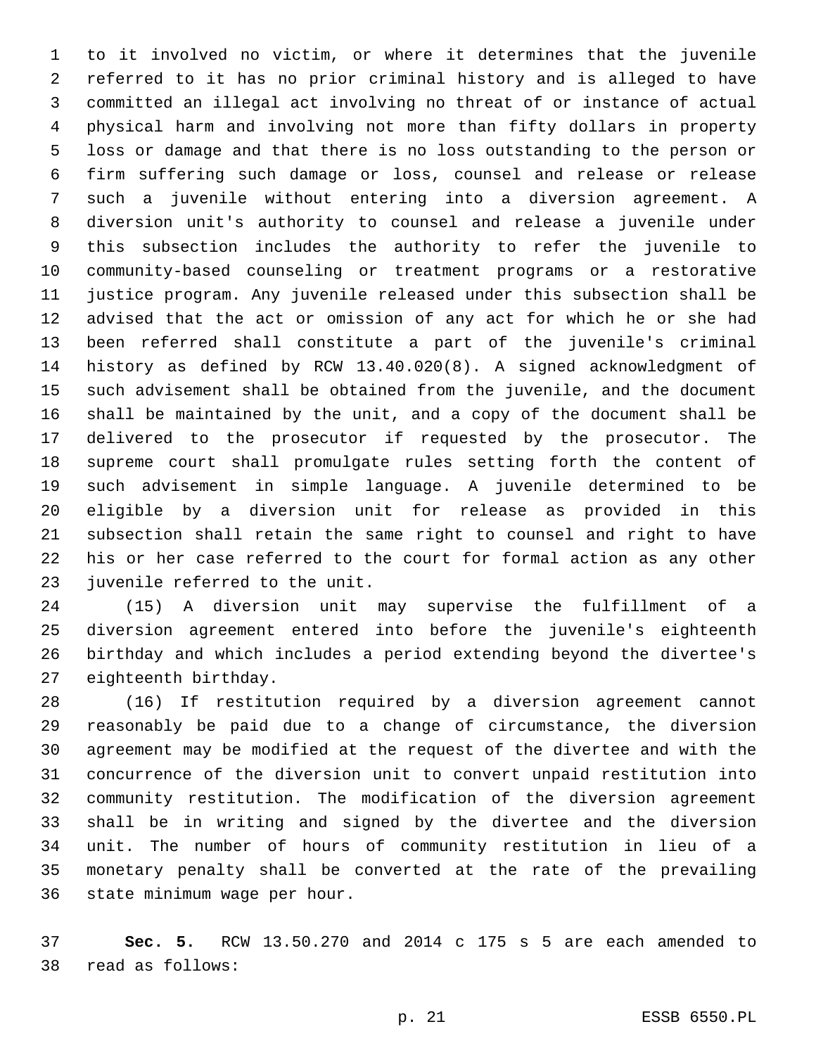to it involved no victim, or where it determines that the juvenile referred to it has no prior criminal history and is alleged to have committed an illegal act involving no threat of or instance of actual physical harm and involving not more than fifty dollars in property loss or damage and that there is no loss outstanding to the person or firm suffering such damage or loss, counsel and release or release such a juvenile without entering into a diversion agreement. A diversion unit's authority to counsel and release a juvenile under this subsection includes the authority to refer the juvenile to community-based counseling or treatment programs or a restorative justice program. Any juvenile released under this subsection shall be advised that the act or omission of any act for which he or she had been referred shall constitute a part of the juvenile's criminal history as defined by RCW 13.40.020(8). A signed acknowledgment of such advisement shall be obtained from the juvenile, and the document shall be maintained by the unit, and a copy of the document shall be delivered to the prosecutor if requested by the prosecutor. The supreme court shall promulgate rules setting forth the content of such advisement in simple language. A juvenile determined to be eligible by a diversion unit for release as provided in this subsection shall retain the same right to counsel and right to have his or her case referred to the court for formal action as any other 23 juvenile referred to the unit.

 (15) A diversion unit may supervise the fulfillment of a diversion agreement entered into before the juvenile's eighteenth birthday and which includes a period extending beyond the divertee's 27 eighteenth birthday.

 (16) If restitution required by a diversion agreement cannot reasonably be paid due to a change of circumstance, the diversion agreement may be modified at the request of the divertee and with the concurrence of the diversion unit to convert unpaid restitution into community restitution. The modification of the diversion agreement shall be in writing and signed by the divertee and the diversion unit. The number of hours of community restitution in lieu of a monetary penalty shall be converted at the rate of the prevailing 36 state minimum wage per hour.

 **Sec. 5.** RCW 13.50.270 and 2014 c 175 s 5 are each amended to read as follows:38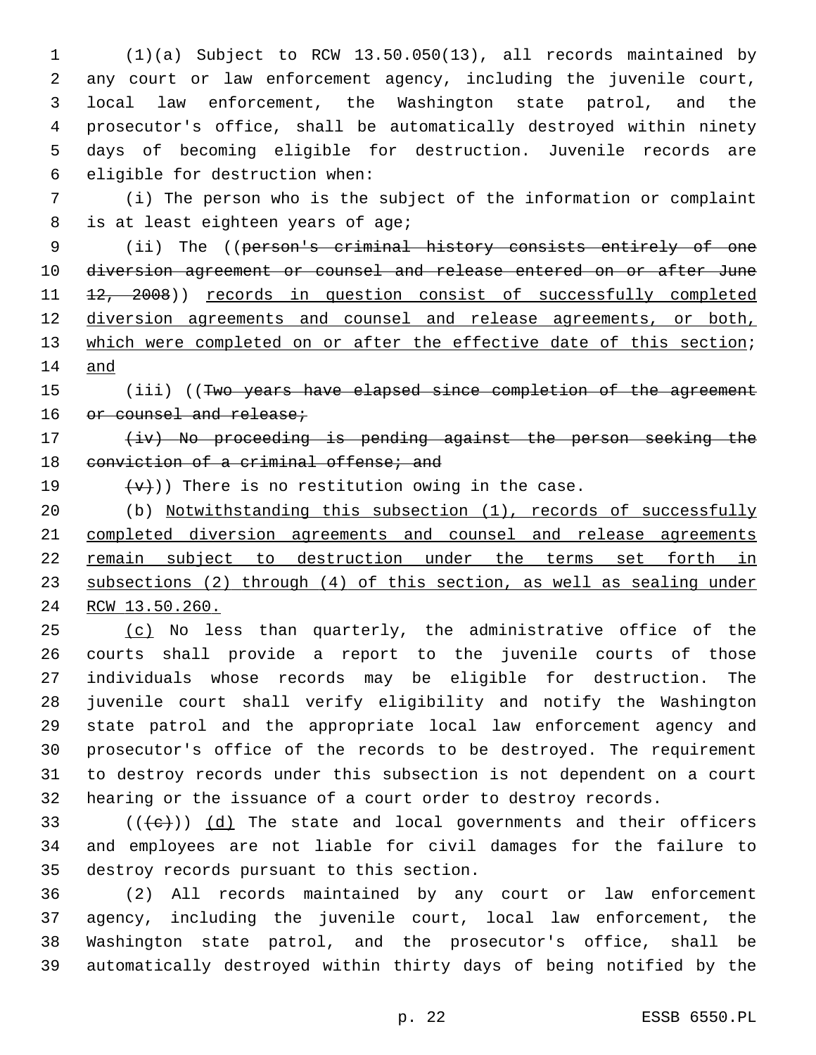(1)(a) Subject to RCW 13.50.050(13), all records maintained by any court or law enforcement agency, including the juvenile court, local law enforcement, the Washington state patrol, and the prosecutor's office, shall be automatically destroyed within ninety days of becoming eligible for destruction. Juvenile records are 6 eligible for destruction when:

 (i) The person who is the subject of the information or complaint 8 is at least eighteen years of age;

 (ii) The ((person's criminal history consists entirely of one 10 diversion agreement or counsel and release entered on or after June 11 <del>12, 2008</del>)) records in question consist of successfully completed 12 diversion agreements and counsel and release agreements, or both, 13 which were completed on or after the effective date of this section; and

15 (iii) ((Two years have elapsed since completion of the agreement 16 or counsel and release;

17 (iv) No proceeding is pending against the person seeking the 18 conviction of a criminal offense; and

19  $(v+v)$ ) There is no restitution owing in the case.

 (b) Notwithstanding this subsection (1), records of successfully completed diversion agreements and counsel and release agreements remain subject to destruction under the terms set forth in subsections (2) through (4) of this section, as well as sealing under RCW 13.50.260.

25 (c) No less than quarterly, the administrative office of the courts shall provide a report to the juvenile courts of those individuals whose records may be eligible for destruction. The juvenile court shall verify eligibility and notify the Washington state patrol and the appropriate local law enforcement agency and prosecutor's office of the records to be destroyed. The requirement to destroy records under this subsection is not dependent on a court hearing or the issuance of a court order to destroy records.

33  $((+e))$  (d) The state and local governments and their officers and employees are not liable for civil damages for the failure to 35 destroy records pursuant to this section.

 (2) All records maintained by any court or law enforcement agency, including the juvenile court, local law enforcement, the Washington state patrol, and the prosecutor's office, shall be automatically destroyed within thirty days of being notified by the